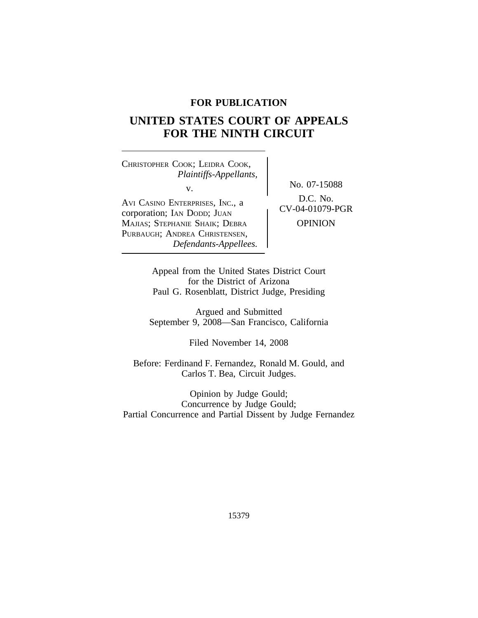## **FOR PUBLICATION**

# **UNITED STATES COURT OF APPEALS FOR THE NINTH CIRCUIT**

<sup>C</sup>HRISTOPHER COOK; LEIDRA COOK, *Plaintiffs-Appellants,* v. No. 07-15088 AVI CASINO ENTERPRISES, INC., a<br>corporation; IAN DODD; JUAN CV-04-01079-PGR MAJIAS; STEPHANIE SHAIK; DEBRA OPINION PURBAUGH; ANDREA CHRISTENSEN, *Defendants-Appellees.*

Appeal from the United States District Court for the District of Arizona Paul G. Rosenblatt, District Judge, Presiding

Argued and Submitted September 9, 2008—San Francisco, California

Filed November 14, 2008

Before: Ferdinand F. Fernandez, Ronald M. Gould, and Carlos T. Bea, Circuit Judges.

Opinion by Judge Gould; Concurrence by Judge Gould; Partial Concurrence and Partial Dissent by Judge Fernandez

15379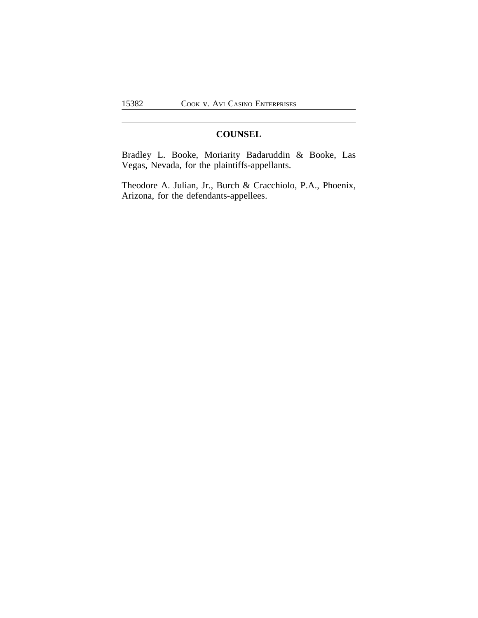## **COUNSEL**

Bradley L. Booke, Moriarity Badaruddin & Booke, Las Vegas, Nevada, for the plaintiffs-appellants.

Theodore A. Julian, Jr., Burch & Cracchiolo, P.A., Phoenix, Arizona, for the defendants-appellees.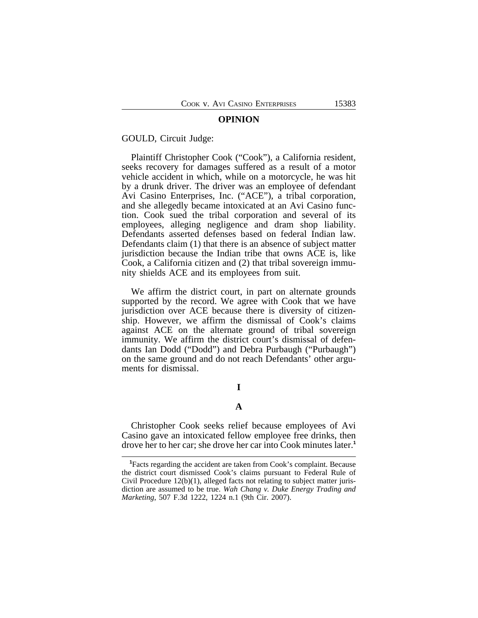#### **OPINION**

#### GOULD, Circuit Judge:

Plaintiff Christopher Cook ("Cook"), a California resident, seeks recovery for damages suffered as a result of a motor vehicle accident in which, while on a motorcycle, he was hit by a drunk driver. The driver was an employee of defendant Avi Casino Enterprises, Inc. ("ACE"), a tribal corporation, and she allegedly became intoxicated at an Avi Casino function. Cook sued the tribal corporation and several of its employees, alleging negligence and dram shop liability. Defendants asserted defenses based on federal Indian law. Defendants claim (1) that there is an absence of subject matter jurisdiction because the Indian tribe that owns ACE is, like Cook, a California citizen and (2) that tribal sovereign immunity shields ACE and its employees from suit.

We affirm the district court, in part on alternate grounds supported by the record. We agree with Cook that we have jurisdiction over ACE because there is diversity of citizenship. However, we affirm the dismissal of Cook's claims against ACE on the alternate ground of tribal sovereign immunity. We affirm the district court's dismissal of defendants Ian Dodd ("Dodd") and Debra Purbaugh ("Purbaugh") on the same ground and do not reach Defendants' other arguments for dismissal.

## **I**

#### **A**

Christopher Cook seeks relief because employees of Avi Casino gave an intoxicated fellow employee free drinks, then drove her to her car; she drove her car into Cook minutes later.**<sup>1</sup>**

**<sup>1</sup>**Facts regarding the accident are taken from Cook's complaint. Because the district court dismissed Cook's claims pursuant to Federal Rule of Civil Procedure 12(b)(1), alleged facts not relating to subject matter jurisdiction are assumed to be true. *Wah Chang v. Duke Energy Trading and Marketing*, 507 F.3d 1222, 1224 n.1 (9th Cir. 2007).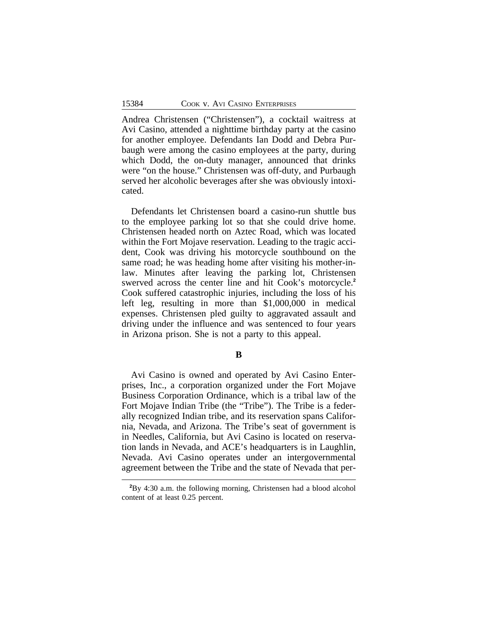Andrea Christensen ("Christensen"), a cocktail waitress at Avi Casino, attended a nighttime birthday party at the casino for another employee. Defendants Ian Dodd and Debra Purbaugh were among the casino employees at the party, during which Dodd, the on-duty manager, announced that drinks were "on the house." Christensen was off-duty, and Purbaugh served her alcoholic beverages after she was obviously intoxicated.

Defendants let Christensen board a casino-run shuttle bus to the employee parking lot so that she could drive home. Christensen headed north on Aztec Road, which was located within the Fort Mojave reservation. Leading to the tragic accident, Cook was driving his motorcycle southbound on the same road; he was heading home after visiting his mother-inlaw. Minutes after leaving the parking lot, Christensen swerved across the center line and hit Cook's motorcycle.**<sup>2</sup>** Cook suffered catastrophic injuries, including the loss of his left leg, resulting in more than \$1,000,000 in medical expenses. Christensen pled guilty to aggravated assault and driving under the influence and was sentenced to four years in Arizona prison. She is not a party to this appeal.

#### **B**

Avi Casino is owned and operated by Avi Casino Enterprises, Inc., a corporation organized under the Fort Mojave Business Corporation Ordinance, which is a tribal law of the Fort Mojave Indian Tribe (the "Tribe"). The Tribe is a federally recognized Indian tribe, and its reservation spans California, Nevada, and Arizona. The Tribe's seat of government is in Needles, California, but Avi Casino is located on reservation lands in Nevada, and ACE's headquarters is in Laughlin, Nevada. Avi Casino operates under an intergovernmental agreement between the Tribe and the state of Nevada that per-

**<sup>2</sup>**By 4:30 a.m. the following morning, Christensen had a blood alcohol content of at least 0.25 percent.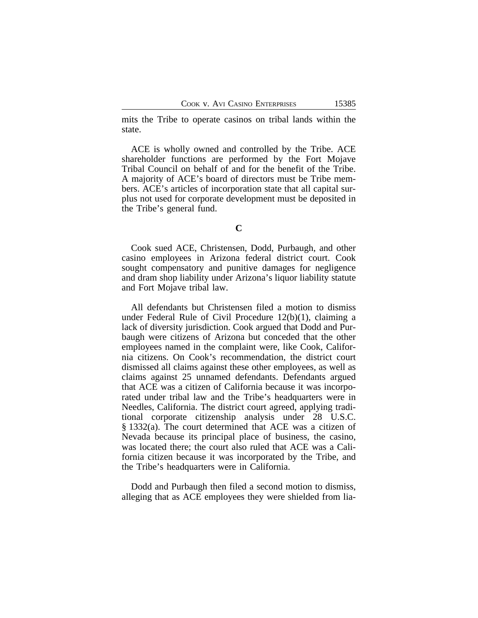mits the Tribe to operate casinos on tribal lands within the state.

ACE is wholly owned and controlled by the Tribe. ACE shareholder functions are performed by the Fort Mojave Tribal Council on behalf of and for the benefit of the Tribe. A majority of ACE's board of directors must be Tribe members. ACE's articles of incorporation state that all capital surplus not used for corporate development must be deposited in the Tribe's general fund.

**C**

Cook sued ACE, Christensen, Dodd, Purbaugh, and other casino employees in Arizona federal district court. Cook sought compensatory and punitive damages for negligence and dram shop liability under Arizona's liquor liability statute and Fort Mojave tribal law.

All defendants but Christensen filed a motion to dismiss under Federal Rule of Civil Procedure 12(b)(1), claiming a lack of diversity jurisdiction. Cook argued that Dodd and Purbaugh were citizens of Arizona but conceded that the other employees named in the complaint were, like Cook, California citizens. On Cook's recommendation, the district court dismissed all claims against these other employees, as well as claims against 25 unnamed defendants. Defendants argued that ACE was a citizen of California because it was incorporated under tribal law and the Tribe's headquarters were in Needles, California. The district court agreed, applying traditional corporate citizenship analysis under 28 U.S.C. § 1332(a). The court determined that ACE was a citizen of Nevada because its principal place of business, the casino, was located there; the court also ruled that ACE was a California citizen because it was incorporated by the Tribe, and the Tribe's headquarters were in California.

Dodd and Purbaugh then filed a second motion to dismiss, alleging that as ACE employees they were shielded from lia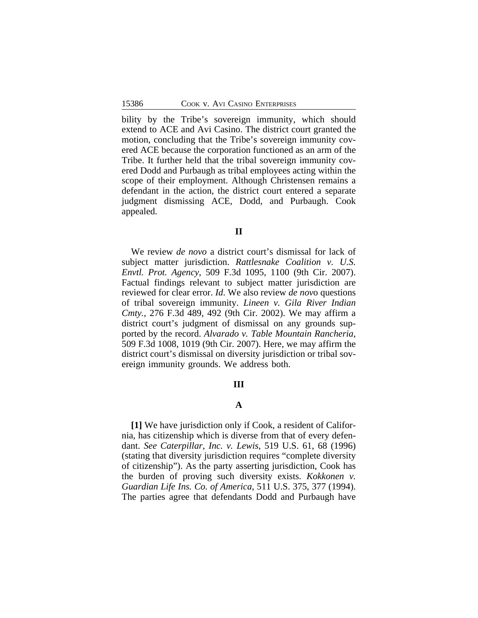bility by the Tribe's sovereign immunity, which should extend to ACE and Avi Casino. The district court granted the motion, concluding that the Tribe's sovereign immunity covered ACE because the corporation functioned as an arm of the Tribe. It further held that the tribal sovereign immunity covered Dodd and Purbaugh as tribal employees acting within the scope of their employment. Although Christensen remains a defendant in the action, the district court entered a separate judgment dismissing ACE, Dodd, and Purbaugh. Cook appealed.

#### **II**

We review *de novo* a district court's dismissal for lack of subject matter jurisdiction. *Rattlesnake Coalition v. U.S. Envtl. Prot. Agency*, 509 F.3d 1095, 1100 (9th Cir. 2007). Factual findings relevant to subject matter jurisdiction are reviewed for clear error. *Id*. We also review *de nov*o questions of tribal sovereign immunity. *Lineen v. Gila River Indian Cmty.*, 276 F.3d 489, 492 (9th Cir. 2002). We may affirm a district court's judgment of dismissal on any grounds supported by the record. *Alvarado v. Table Mountain Rancheria*, 509 F.3d 1008, 1019 (9th Cir. 2007). Here, we may affirm the district court's dismissal on diversity jurisdiction or tribal sovereign immunity grounds. We address both.

#### **III**

## **A**

**[1]** We have jurisdiction only if Cook, a resident of California, has citizenship which is diverse from that of every defendant. *See Caterpillar, Inc. v. Lewis*, 519 U.S. 61, 68 (1996) (stating that diversity jurisdiction requires "complete diversity of citizenship"). As the party asserting jurisdiction, Cook has the burden of proving such diversity exists. *Kokkonen v. Guardian Life Ins. Co. of America*, 511 U.S. 375, 377 (1994). The parties agree that defendants Dodd and Purbaugh have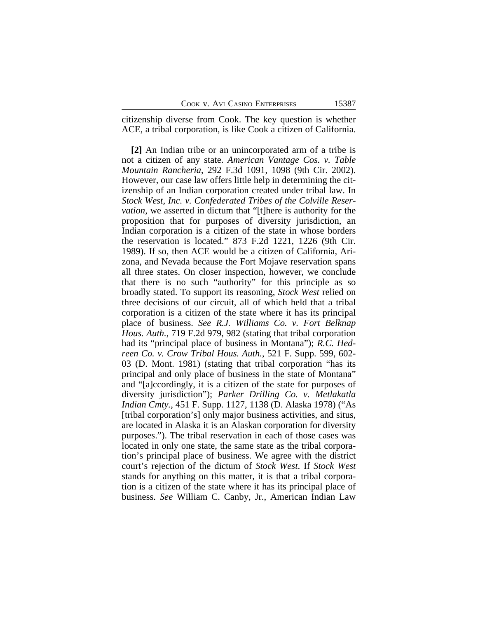citizenship diverse from Cook. The key question is whether ACE, a tribal corporation, is like Cook a citizen of California.

**[2]** An Indian tribe or an unincorporated arm of a tribe is not a citizen of any state. *American Vantage Cos. v. Table Mountain Rancheria*, 292 F.3d 1091, 1098 (9th Cir. 2002). However, our case law offers little help in determining the citizenship of an Indian corporation created under tribal law. In *Stock West, Inc. v. Confederated Tribes of the Colville Reservation*, we asserted in dictum that "[t]here is authority for the proposition that for purposes of diversity jurisdiction, an Indian corporation is a citizen of the state in whose borders the reservation is located." 873 F.2d 1221, 1226 (9th Cir. 1989). If so, then ACE would be a citizen of California, Arizona, and Nevada because the Fort Mojave reservation spans all three states. On closer inspection, however, we conclude that there is no such "authority" for this principle as so broadly stated. To support its reasoning, *Stock West* relied on three decisions of our circuit, all of which held that a tribal corporation is a citizen of the state where it has its principal place of business. *See R.J. Williams Co. v. Fort Belknap Hous. Auth.*, 719 F.2d 979, 982 (stating that tribal corporation had its "principal place of business in Montana"); *R.C. Hedreen Co. v. Crow Tribal Hous. Auth.*, 521 F. Supp. 599, 602- 03 (D. Mont. 1981) (stating that tribal corporation "has its principal and only place of business in the state of Montana" and "[a]ccordingly, it is a citizen of the state for purposes of diversity jurisdiction"); *Parker Drilling Co. v. Metlakatla Indian Cmty.*, 451 F. Supp. 1127, 1138 (D. Alaska 1978) ("As [tribal corporation's] only major business activities, and situs, are located in Alaska it is an Alaskan corporation for diversity purposes."). The tribal reservation in each of those cases was located in only one state, the same state as the tribal corporation's principal place of business. We agree with the district court's rejection of the dictum of *Stock West*. If *Stock West* stands for anything on this matter, it is that a tribal corporation is a citizen of the state where it has its principal place of business. *See* William C. Canby, Jr., American Indian Law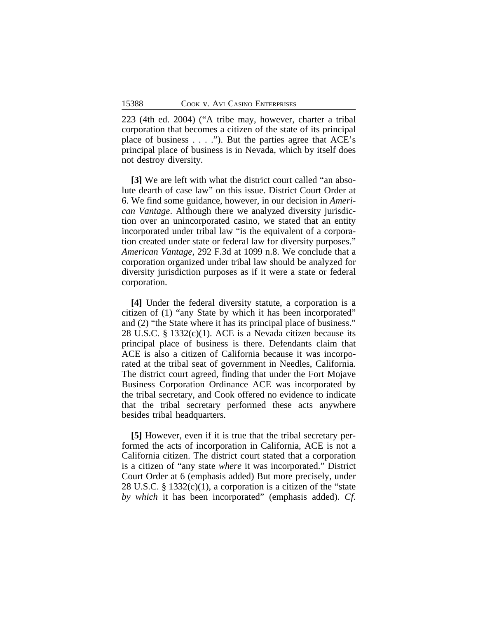223 (4th ed. 2004) ("A tribe may, however, charter a tribal corporation that becomes a citizen of the state of its principal place of business . . . ."). But the parties agree that ACE's principal place of business is in Nevada, which by itself does not destroy diversity.

**[3]** We are left with what the district court called "an absolute dearth of case law" on this issue. District Court Order at 6. We find some guidance, however, in our decision in *American Vantage*. Although there we analyzed diversity jurisdiction over an unincorporated casino, we stated that an entity incorporated under tribal law "is the equivalent of a corporation created under state or federal law for diversity purposes." *American Vantage*, 292 F.3d at 1099 n.8. We conclude that a corporation organized under tribal law should be analyzed for diversity jurisdiction purposes as if it were a state or federal corporation.

**[4]** Under the federal diversity statute, a corporation is a citizen of (1) "any State by which it has been incorporated" and (2) "the State where it has its principal place of business." 28 U.S.C. § 1332 $(c)(1)$ . ACE is a Nevada citizen because its principal place of business is there. Defendants claim that ACE is also a citizen of California because it was incorporated at the tribal seat of government in Needles, California. The district court agreed, finding that under the Fort Mojave Business Corporation Ordinance ACE was incorporated by the tribal secretary, and Cook offered no evidence to indicate that the tribal secretary performed these acts anywhere besides tribal headquarters.

**[5]** However, even if it is true that the tribal secretary performed the acts of incorporation in California, ACE is not a California citizen. The district court stated that a corporation is a citizen of "any state *where* it was incorporated." District Court Order at 6 (emphasis added) But more precisely, under 28 U.S.C. § 1332(c)(1), a corporation is a citizen of the "state *by which* it has been incorporated" (emphasis added). *Cf*.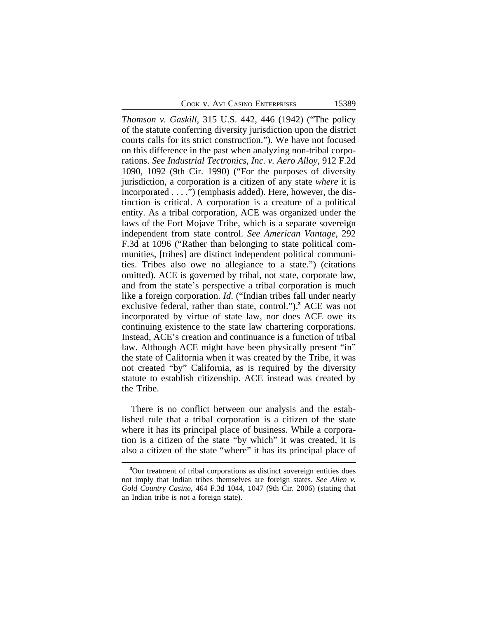COOK V. AVI CASINO ENTERPRISES 15389

*Thomson v. Gaskill*, 315 U.S. 442, 446 (1942) ("The policy of the statute conferring diversity jurisdiction upon the district courts calls for its strict construction."). We have not focused on this difference in the past when analyzing non-tribal corporations. *See Industrial Tectronics, Inc. v. Aero Alloy*, 912 F.2d 1090, 1092 (9th Cir. 1990) ("For the purposes of diversity jurisdiction, a corporation is a citizen of any state *where* it is incorporated . . . .") (emphasis added). Here, however, the distinction is critical. A corporation is a creature of a political entity. As a tribal corporation, ACE was organized under the laws of the Fort Mojave Tribe, which is a separate sovereign independent from state control. *See American Vantage*, 292 F.3d at 1096 ("Rather than belonging to state political communities, [tribes] are distinct independent political communities. Tribes also owe no allegiance to a state.") (citations omitted). ACE is governed by tribal, not state, corporate law, and from the state's perspective a tribal corporation is much like a foreign corporation. *Id*. ("Indian tribes fall under nearly exclusive federal, rather than state, control.").**<sup>3</sup>** ACE was not incorporated by virtue of state law, nor does ACE owe its continuing existence to the state law chartering corporations. Instead, ACE's creation and continuance is a function of tribal law. Although ACE might have been physically present "in" the state of California when it was created by the Tribe, it was not created "by" California, as is required by the diversity statute to establish citizenship. ACE instead was created by the Tribe.

There is no conflict between our analysis and the established rule that a tribal corporation is a citizen of the state where it has its principal place of business. While a corporation is a citizen of the state "by which" it was created, it is also a citizen of the state "where" it has its principal place of

<sup>&</sup>lt;sup>3</sup>Our treatment of tribal corporations as distinct sovereign entities does not imply that Indian tribes themselves are foreign states. *See Allen v. Gold Country Casino*, 464 F.3d 1044, 1047 (9th Cir. 2006) (stating that an Indian tribe is not a foreign state).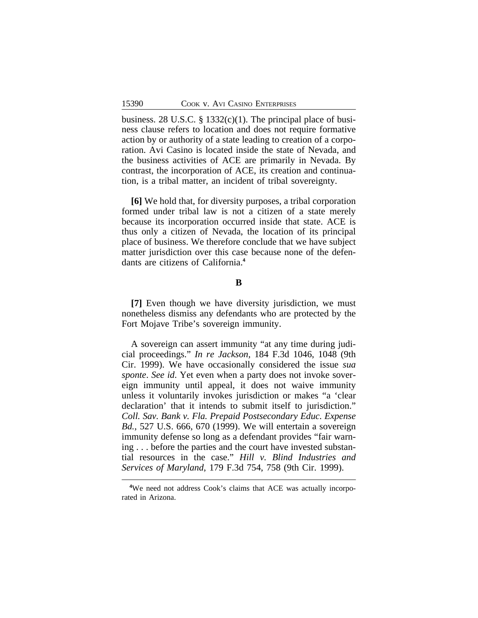business. 28 U.S.C. § 1332 $(c)(1)$ . The principal place of business clause refers to location and does not require formative action by or authority of a state leading to creation of a corporation. Avi Casino is located inside the state of Nevada, and the business activities of ACE are primarily in Nevada. By contrast, the incorporation of ACE, its creation and continuation, is a tribal matter, an incident of tribal sovereignty.

**[6]** We hold that, for diversity purposes, a tribal corporation formed under tribal law is not a citizen of a state merely because its incorporation occurred inside that state. ACE is thus only a citizen of Nevada, the location of its principal place of business. We therefore conclude that we have subject matter jurisdiction over this case because none of the defendants are citizens of California.**<sup>4</sup>**

**B**

**[7]** Even though we have diversity jurisdiction, we must nonetheless dismiss any defendants who are protected by the Fort Mojave Tribe's sovereign immunity.

A sovereign can assert immunity "at any time during judicial proceedings." *In re Jackson,* 184 F.3d 1046, 1048 (9th Cir. 1999). We have occasionally considered the issue *sua sponte*. *See id*. Yet even when a party does not invoke sovereign immunity until appeal, it does not waive immunity unless it voluntarily invokes jurisdiction or makes "a 'clear declaration' that it intends to submit itself to jurisdiction." *Coll. Sav. Bank v. Fla. Prepaid Postsecondary Educ. Expense Bd.*, 527 U.S. 666, 670 (1999). We will entertain a sovereign immunity defense so long as a defendant provides "fair warning . . . before the parties and the court have invested substantial resources in the case." *Hill v. Blind Industries and Services of Maryland*, 179 F.3d 754, 758 (9th Cir. 1999).

**<sup>4</sup>**We need not address Cook's claims that ACE was actually incorporated in Arizona.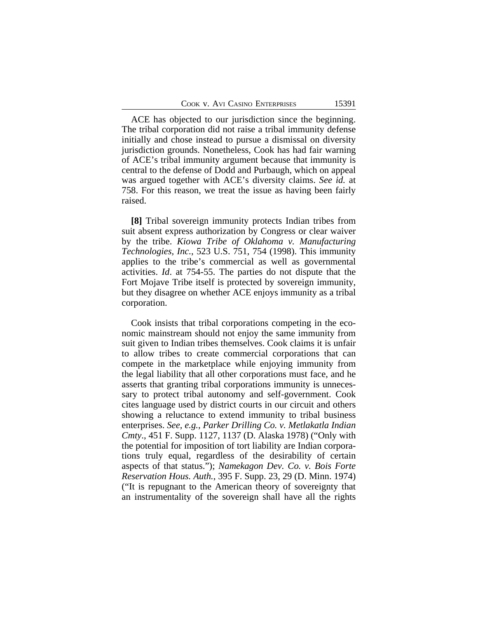ACE has objected to our jurisdiction since the beginning. The tribal corporation did not raise a tribal immunity defense initially and chose instead to pursue a dismissal on diversity jurisdiction grounds. Nonetheless, Cook has had fair warning of ACE's tribal immunity argument because that immunity is central to the defense of Dodd and Purbaugh, which on appeal was argued together with ACE's diversity claims. *See id.* at 758. For this reason, we treat the issue as having been fairly raised.

**[8]** Tribal sovereign immunity protects Indian tribes from suit absent express authorization by Congress or clear waiver by the tribe. *Kiowa Tribe of Oklahoma v. Manufacturing Technologies, Inc.*, 523 U.S. 751, 754 (1998). This immunity applies to the tribe's commercial as well as governmental activities. *Id*. at 754-55. The parties do not dispute that the Fort Mojave Tribe itself is protected by sovereign immunity, but they disagree on whether ACE enjoys immunity as a tribal corporation.

Cook insists that tribal corporations competing in the economic mainstream should not enjoy the same immunity from suit given to Indian tribes themselves. Cook claims it is unfair to allow tribes to create commercial corporations that can compete in the marketplace while enjoying immunity from the legal liability that all other corporations must face, and he asserts that granting tribal corporations immunity is unnecessary to protect tribal autonomy and self-government. Cook cites language used by district courts in our circuit and others showing a reluctance to extend immunity to tribal business enterprises. *See, e.g.*, *Parker Drilling Co. v. Metlakatla Indian Cmty*., 451 F. Supp. 1127, 1137 (D. Alaska 1978) ("Only with the potential for imposition of tort liability are Indian corporations truly equal, regardless of the desirability of certain aspects of that status."); *Namekagon Dev. Co. v. Bois Forte Reservation Hous. Auth.*, 395 F. Supp. 23, 29 (D. Minn. 1974) ("It is repugnant to the American theory of sovereignty that an instrumentality of the sovereign shall have all the rights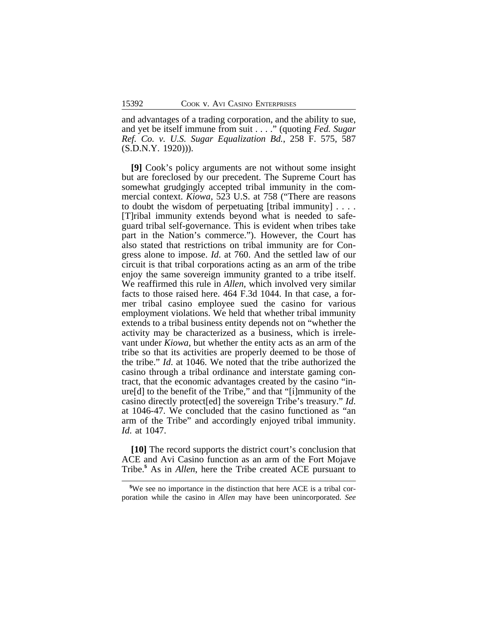and advantages of a trading corporation, and the ability to sue, and yet be itself immune from suit . . . ." (quoting *Fed. Sugar Ref. Co. v. U.S. Sugar Equalization Bd.*, 258 F. 575, 587 (S.D.N.Y. 1920))).

**[9]** Cook's policy arguments are not without some insight but are foreclosed by our precedent. The Supreme Court has somewhat grudgingly accepted tribal immunity in the commercial context. *Kiowa*, 523 U.S. at 758 ("There are reasons to doubt the wisdom of perpetuating [tribal immunity] . . . . [T]ribal immunity extends beyond what is needed to safeguard tribal self-governance. This is evident when tribes take part in the Nation's commerce."). However, the Court has also stated that restrictions on tribal immunity are for Congress alone to impose. *Id*. at 760. And the settled law of our circuit is that tribal corporations acting as an arm of the tribe enjoy the same sovereign immunity granted to a tribe itself. We reaffirmed this rule in *Allen*, which involved very similar facts to those raised here. 464 F.3d 1044. In that case, a former tribal casino employee sued the casino for various employment violations. We held that whether tribal immunity extends to a tribal business entity depends not on "whether the activity may be characterized as a business, which is irrelevant under *Kiowa*, but whether the entity acts as an arm of the tribe so that its activities are properly deemed to be those of the tribe." *Id*. at 1046. We noted that the tribe authorized the casino through a tribal ordinance and interstate gaming contract, that the economic advantages created by the casino "inure[d] to the benefit of the Tribe," and that "[i]mmunity of the casino directly protect[ed] the sovereign Tribe's treasury." *Id*. at 1046-47. We concluded that the casino functioned as "an arm of the Tribe" and accordingly enjoyed tribal immunity. *Id*. at 1047.

**[10]** The record supports the district court's conclusion that ACE and Avi Casino function as an arm of the Fort Mojave Tribe.**<sup>5</sup>** As in *Allen*, here the Tribe created ACE pursuant to

**<sup>5</sup>**We see no importance in the distinction that here ACE is a tribal corporation while the casino in *Allen* may have been unincorporated. *See*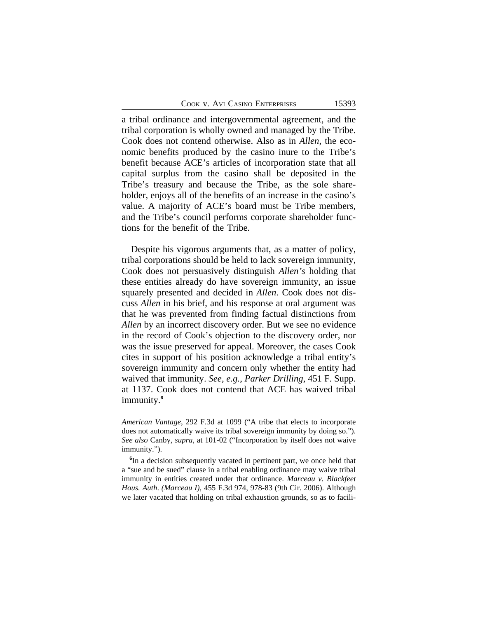a tribal ordinance and intergovernmental agreement, and the tribal corporation is wholly owned and managed by the Tribe. Cook does not contend otherwise. Also as in *Allen*, the economic benefits produced by the casino inure to the Tribe's benefit because ACE's articles of incorporation state that all capital surplus from the casino shall be deposited in the Tribe's treasury and because the Tribe, as the sole shareholder, enjoys all of the benefits of an increase in the casino's value. A majority of ACE's board must be Tribe members, and the Tribe's council performs corporate shareholder functions for the benefit of the Tribe.

Despite his vigorous arguments that, as a matter of policy, tribal corporations should be held to lack sovereign immunity, Cook does not persuasively distinguish *Allen's* holding that these entities already do have sovereign immunity, an issue squarely presented and decided in *Allen*. Cook does not discuss *Allen* in his brief, and his response at oral argument was that he was prevented from finding factual distinctions from *Allen* by an incorrect discovery order. But we see no evidence in the record of Cook's objection to the discovery order, nor was the issue preserved for appeal. Moreover, the cases Cook cites in support of his position acknowledge a tribal entity's sovereign immunity and concern only whether the entity had waived that immunity. *See, e.g.*, *Parker Drilling*, 451 F. Supp. at 1137. Cook does not contend that ACE has waived tribal immunity.**<sup>6</sup>**

*American Vantage*, 292 F.3d at 1099 ("A tribe that elects to incorporate does not automatically waive its tribal sovereign immunity by doing so."). *See also* Canby, *supra*, at 101-02 ("Incorporation by itself does not waive immunity.").

**<sup>6</sup>** In a decision subsequently vacated in pertinent part, we once held that a "sue and be sued" clause in a tribal enabling ordinance may waive tribal immunity in entities created under that ordinance. *Marceau v. Blackfeet Hous. Auth*. *(Marceau I)*, 455 F.3d 974, 978-83 (9th Cir. 2006). Although we later vacated that holding on tribal exhaustion grounds, so as to facili-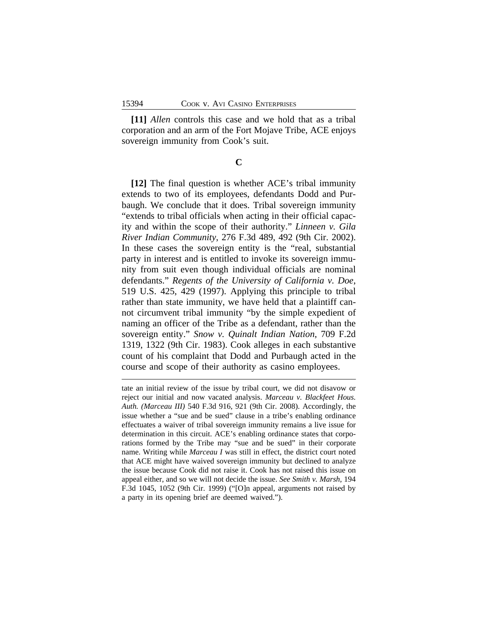**[11]** *Allen* controls this case and we hold that as a tribal corporation and an arm of the Fort Mojave Tribe, ACE enjoys sovereign immunity from Cook's suit.

**C**

**[12]** The final question is whether ACE's tribal immunity extends to two of its employees, defendants Dodd and Purbaugh. We conclude that it does. Tribal sovereign immunity "extends to tribal officials when acting in their official capacity and within the scope of their authority." *Linneen v. Gila River Indian Community*, 276 F.3d 489, 492 (9th Cir. 2002). In these cases the sovereign entity is the "real, substantial party in interest and is entitled to invoke its sovereign immunity from suit even though individual officials are nominal defendants." *Regents of the University of California v. Doe*, 519 U.S. 425, 429 (1997). Applying this principle to tribal rather than state immunity, we have held that a plaintiff cannot circumvent tribal immunity "by the simple expedient of naming an officer of the Tribe as a defendant, rather than the sovereign entity." *Snow v. Quinalt Indian Nation*, 709 F.2d 1319, 1322 (9th Cir. 1983). Cook alleges in each substantive count of his complaint that Dodd and Purbaugh acted in the course and scope of their authority as casino employees.

tate an initial review of the issue by tribal court, we did not disavow or reject our initial and now vacated analysis. *Marceau v. Blackfeet Hous. Auth. (Marceau III)* 540 F.3d 916, 921 (9th Cir. 2008). Accordingly, the issue whether a "sue and be sued" clause in a tribe's enabling ordinance effectuates a waiver of tribal sovereign immunity remains a live issue for determination in this circuit. ACE's enabling ordinance states that corporations formed by the Tribe may "sue and be sued" in their corporate name. Writing while *Marceau I* was still in effect, the district court noted that ACE might have waived sovereign immunity but declined to analyze the issue because Cook did not raise it. Cook has not raised this issue on appeal either, and so we will not decide the issue. *See Smith v. Marsh*, 194 F.3d 1045, 1052 (9th Cir. 1999) ("[O]n appeal, arguments not raised by a party in its opening brief are deemed waived.").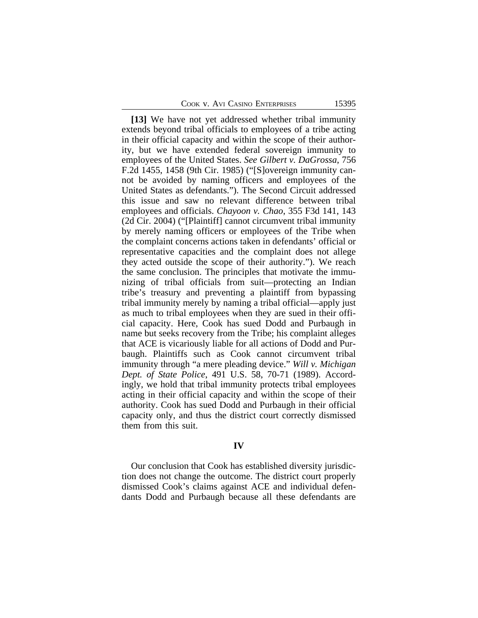**[13]** We have not yet addressed whether tribal immunity extends beyond tribal officials to employees of a tribe acting in their official capacity and within the scope of their authority, but we have extended federal sovereign immunity to employees of the United States. *See Gilbert v. DaGrossa*, 756 F.2d 1455, 1458 (9th Cir. 1985) ("[S]overeign immunity cannot be avoided by naming officers and employees of the United States as defendants."). The Second Circuit addressed this issue and saw no relevant difference between tribal employees and officials. *Chayoon v. Chao*, 355 F3d 141, 143 (2d Cir. 2004) ("[Plaintiff] cannot circumvent tribal immunity by merely naming officers or employees of the Tribe when the complaint concerns actions taken in defendants' official or representative capacities and the complaint does not allege they acted outside the scope of their authority."). We reach the same conclusion. The principles that motivate the immunizing of tribal officials from suit—protecting an Indian tribe's treasury and preventing a plaintiff from bypassing tribal immunity merely by naming a tribal official—apply just as much to tribal employees when they are sued in their official capacity. Here, Cook has sued Dodd and Purbaugh in name but seeks recovery from the Tribe; his complaint alleges that ACE is vicariously liable for all actions of Dodd and Purbaugh. Plaintiffs such as Cook cannot circumvent tribal immunity through "a mere pleading device." *Will v. Michigan Dept. of State Police*, 491 U.S. 58, 70-71 (1989). Accordingly, we hold that tribal immunity protects tribal employees acting in their official capacity and within the scope of their authority. Cook has sued Dodd and Purbaugh in their official capacity only, and thus the district court correctly dismissed them from this suit.

## **IV**

Our conclusion that Cook has established diversity jurisdiction does not change the outcome. The district court properly dismissed Cook's claims against ACE and individual defendants Dodd and Purbaugh because all these defendants are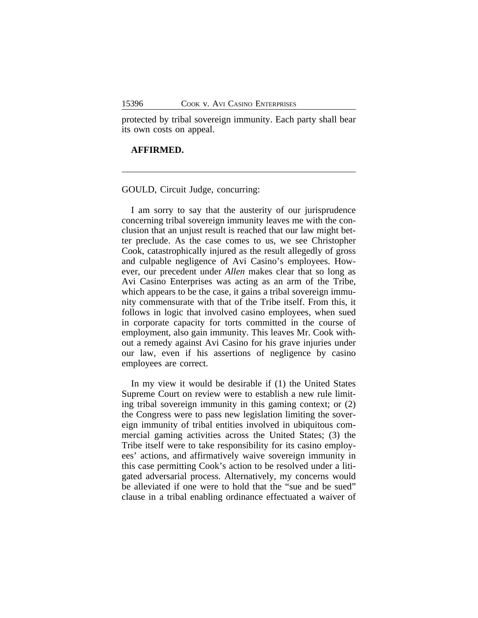protected by tribal sovereign immunity. Each party shall bear its own costs on appeal.

## **AFFIRMED.**

### GOULD, Circuit Judge, concurring:

I am sorry to say that the austerity of our jurisprudence concerning tribal sovereign immunity leaves me with the conclusion that an unjust result is reached that our law might better preclude. As the case comes to us, we see Christopher Cook, catastrophically injured as the result allegedly of gross and culpable negligence of Avi Casino's employees. However, our precedent under *Allen* makes clear that so long as Avi Casino Enterprises was acting as an arm of the Tribe, which appears to be the case, it gains a tribal sovereign immunity commensurate with that of the Tribe itself. From this, it follows in logic that involved casino employees, when sued in corporate capacity for torts committed in the course of employment, also gain immunity. This leaves Mr. Cook without a remedy against Avi Casino for his grave injuries under our law, even if his assertions of negligence by casino employees are correct.

In my view it would be desirable if (1) the United States Supreme Court on review were to establish a new rule limiting tribal sovereign immunity in this gaming context; or (2) the Congress were to pass new legislation limiting the sovereign immunity of tribal entities involved in ubiquitous commercial gaming activities across the United States; (3) the Tribe itself were to take responsibility for its casino employees' actions, and affirmatively waive sovereign immunity in this case permitting Cook's action to be resolved under a litigated adversarial process. Alternatively, my concerns would be alleviated if one were to hold that the "sue and be sued" clause in a tribal enabling ordinance effectuated a waiver of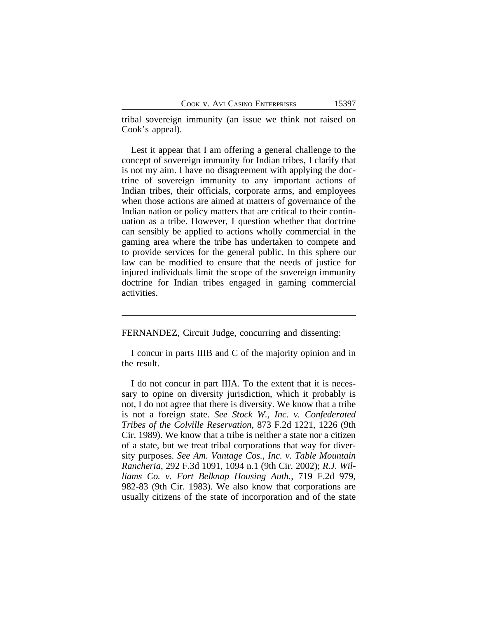tribal sovereign immunity (an issue we think not raised on Cook's appeal).

Lest it appear that I am offering a general challenge to the concept of sovereign immunity for Indian tribes, I clarify that is not my aim. I have no disagreement with applying the doctrine of sovereign immunity to any important actions of Indian tribes, their officials, corporate arms, and employees when those actions are aimed at matters of governance of the Indian nation or policy matters that are critical to their continuation as a tribe. However, I question whether that doctrine can sensibly be applied to actions wholly commercial in the gaming area where the tribe has undertaken to compete and to provide services for the general public. In this sphere our law can be modified to ensure that the needs of justice for injured individuals limit the scope of the sovereign immunity doctrine for Indian tribes engaged in gaming commercial activities.

FERNANDEZ, Circuit Judge, concurring and dissenting:

I concur in parts IIIB and C of the majority opinion and in the result.

I do not concur in part IIIA. To the extent that it is necessary to opine on diversity jurisdiction, which it probably is not, I do not agree that there is diversity. We know that a tribe is not a foreign state. *See Stock W., Inc. v. Confederated Tribes of the Colville Reservation*, 873 F.2d 1221, 1226 (9th Cir. 1989). We know that a tribe is neither a state nor a citizen of a state, but we treat tribal corporations that way for diversity purposes. *See Am. Vantage Cos., Inc. v. Table Mountain Rancheria*, 292 F.3d 1091, 1094 n.1 (9th Cir. 2002); *R.J. Williams Co. v. Fort Belknap Housing Auth.*, 719 F.2d 979, 982-83 (9th Cir. 1983). We also know that corporations are usually citizens of the state of incorporation and of the state